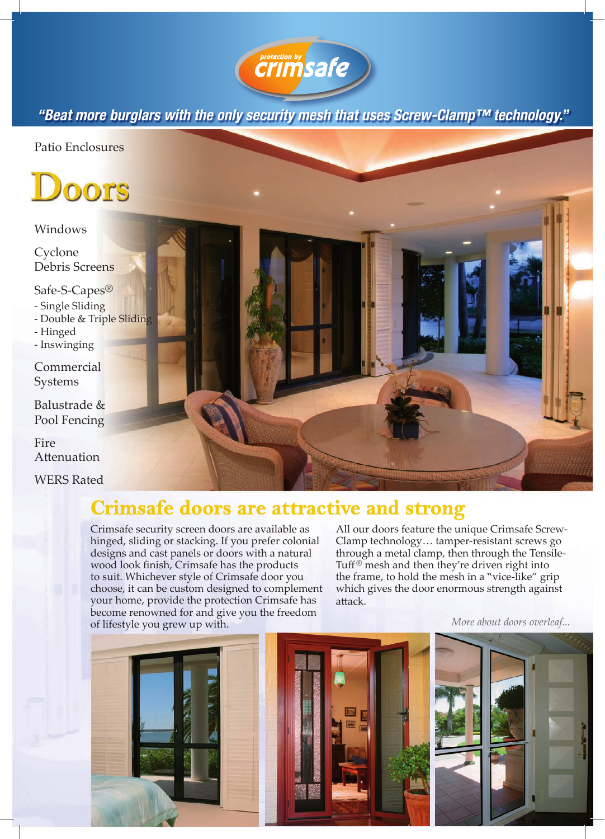

*"Beat more burglars with the only security mesh that uses Screw-Clamp™ technology."*

Patio Enclosures



## Windows

Cyclone Debris Screens

Safe-S-Capes®

- Single Sliding
- Double & Triple Sliding
- Hinged
- Inswinging
- Commercial Systems
- Balustrade & Pool Fencing

Fire Attenuation

WERS Rated

## **Crimsafe doors are attractive and strong**

Crimsafe security screen doors are available as hinged, sliding or stacking. If you prefer colonial designs and cast panels or doors with a natural wood look finish, Crimsafe has the products to suit. Whichever style of Crimsafe door you choose, it can be custom designed to complement your home, provide the protection Crimsafe has become renowned for and give you the freedom of lifestyle you grew up with.

All our doors feature the unique Crimsafe Screw-Clamp technology… tamper-resistant screws go through a metal clamp, then through the Tensile-Tuff ® mesh and then they're driven right into the frame, to hold the mesh in a "vice-like" grip which gives the door enormous strength against attack.

*More about doors overleaf...*